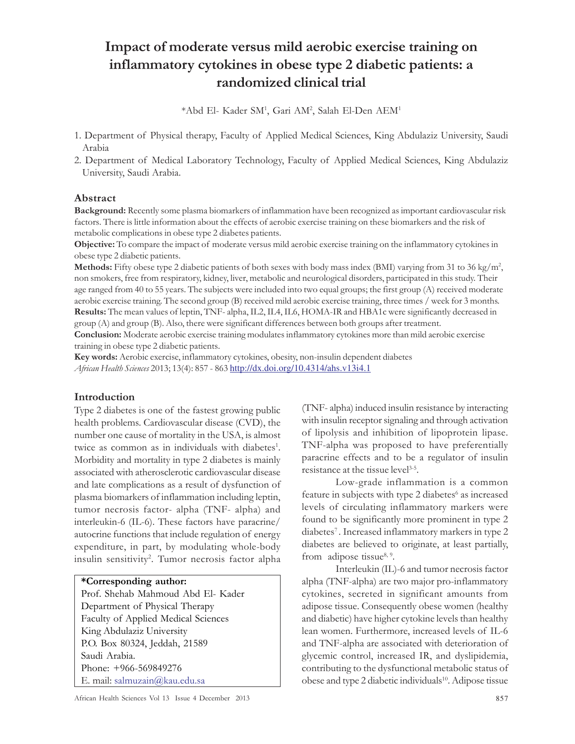# Impact of moderate versus mild aerobic exercise training on inflammatory cytokines in obese type 2 diabetic patients: a randomized clinical trial

\*Abd El- Kader SM<sup>1</sup> , Gari AM<sup>2</sup> , Salah El-Den AEM<sup>1</sup>

- 1. Department of Physical therapy, Faculty of Applied Medical Sciences, King Abdulaziz University, Saudi Arabia
- 2. Department of Medical Laboratory Technology, Faculty of Applied Medical Sciences, King Abdulaziz University, Saudi Arabia.

## Abstract

Background: Recently some plasma biomarkers of inflammation have been recognized as important cardiovascular risk factors. There is little information about the effects of aerobic exercise training on these biomarkers and the risk of metabolic complications in obese type 2 diabetes patients.

Objective: To compare the impact of moderate versus mild aerobic exercise training on the inflammatory cytokines in obese type 2 diabetic patients.

**Methods:** Fifty obese type 2 diabetic patients of both sexes with body mass index (BMI) varying from 31 to 36 kg/m<sup>2</sup>, non smokers, free from respiratory, kidney, liver, metabolic and neurological disorders, participated in this study. Their age ranged from 40 to 55 years. The subjects were included into two equal groups; the first group (A) received moderate aerobic exercise training. The second group (B) received mild aerobic exercise training, three times / week for 3 months. Results: The mean values of leptin, TNF- alpha, IL2, IL4, IL6, HOMA-IR and HBA1c were significantly decreased in group (A) and group (B). Also, there were significant differences between both groups after treatment.

Conclusion: Moderate aerobic exercise training modulates inflammatory cytokines more than mild aerobic exercise training in obese type 2 diabetic patients.

Key words: Aerobic exercise, inflammatory cytokines, obesity, non-insulin dependent diabetes African Health Sciences 2013; 13(4): 857 - 863 http://dx.doi.org/10.4314/ahs.v13i4.1

## Introduction

Type 2 diabetes is one of the fastest growing public health problems. Cardiovascular disease (CVD), the number one cause of mortality in the USA, is almost twice as common as in individuals with diabetes<sup>1</sup>. Morbidity and mortality in type 2 diabetes is mainly associated with atherosclerotic cardiovascular disease and late complications as a result of dysfunction of plasma biomarkers of inflammation including leptin, tumor necrosis factor- alpha (TNF- alpha) and interleukin-6 (IL-6). These factors have paracrine/ autocrine functions that include regulation of energy expenditure, in part, by modulating whole-body insulin sensitivity<sup>2</sup> . Tumor necrosis factor alpha

## \*Corresponding author:

Prof. Shehab Mahmoud Abd El- Kader Department of Physical Therapy Faculty of Applied Medical Sciences King Abdulaziz University P.O. Box 80324, Jeddah, 21589 Saudi Arabia. Phone: +966-569849276 E. mail: salmuzain@kau.edu.sa

African Health Sciences Vol 13 Issue 4 December 2013 857

(TNF- alpha) induced insulin resistance by interacting with insulin receptor signaling and through activation of lipolysis and inhibition of lipoprotein lipase. TNF-alpha was proposed to have preferentially paracrine effects and to be a regulator of insulin resistance at the tissue level<sup>3-5</sup>.

Low-grade inflammation is a common feature in subjects with type 2 diabetes<sup>6</sup> as increased levels of circulating inflammatory markers were found to be significantly more prominent in type 2 diabetes<sup>7</sup>. Increased inflammatory markers in type 2 diabetes are believed to originate, at least partially, from adipose tissue<sup>8, 9</sup>.

Interleukin (IL)-6 and tumor necrosis factor alpha (TNF-alpha) are two major pro-inflammatory cytokines, secreted in significant amounts from adipose tissue. Consequently obese women (healthy and diabetic) have higher cytokine levels than healthy lean women. Furthermore, increased levels of IL-6 and TNF-alpha are associated with deterioration of glycemic control, increased IR, and dyslipidemia, contributing to the dysfunctional metabolic status of obese and type 2 diabetic individuals<sup>10</sup>. Adipose tissue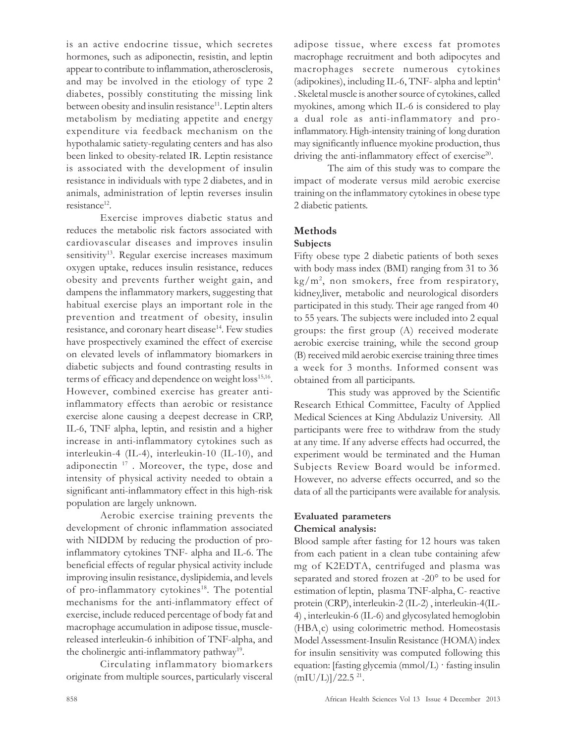is an active endocrine tissue, which secretes hormones, such as adiponectin, resistin, and leptin appear to contribute to inflammation, atherosclerosis, and may be involved in the etiology of type 2 diabetes, possibly constituting the missing link between obesity and insulin resistance<sup>11</sup>. Leptin alters metabolism by mediating appetite and energy expenditure via feedback mechanism on the hypothalamic satiety-regulating centers and has also been linked to obesity-related IR. Leptin resistance is associated with the development of insulin resistance in individuals with type 2 diabetes, and in animals, administration of leptin reverses insulin resistance<sup>12</sup>.

Exercise improves diabetic status and reduces the metabolic risk factors associated with cardiovascular diseases and improves insulin sensitivity<sup>13</sup>. Regular exercise increases maximum oxygen uptake, reduces insulin resistance, reduces obesity and prevents further weight gain, and dampens the inflammatory markers, suggesting that habitual exercise plays an important role in the prevention and treatment of obesity, insulin resistance, and coronary heart disease<sup>14</sup>. Few studies have prospectively examined the effect of exercise on elevated levels of inflammatory biomarkers in diabetic subjects and found contrasting results in terms of efficacy and dependence on weight loss<sup>15,16</sup>. However, combined exercise has greater antiinflammatory effects than aerobic or resistance exercise alone causing a deepest decrease in CRP, IL-6, TNF alpha, leptin, and resistin and a higher increase in anti-inflammatory cytokines such as interleukin-4 (IL-4), interleukin-10 (IL-10), and adiponectin <sup>17</sup> . Moreover, the type, dose and intensity of physical activity needed to obtain a significant anti-inflammatory effect in this high-risk population are largely unknown.

Aerobic exercise training prevents the development of chronic inflammation associated with NIDDM by reducing the production of proinflammatory cytokines TNF- alpha and IL-6. The beneficial effects of regular physical activity include improving insulin resistance, dyslipidemia, and levels of pro-inflammatory cytokines<sup>18</sup>. The potential mechanisms for the anti-inflammatory effect of exercise, include reduced percentage of body fat and macrophage accumulation in adipose tissue, musclereleased interleukin-6 inhibition of TNF-alpha, and the cholinergic anti-inflammatory pathway<sup>19</sup>.

Circulating inflammatory biomarkers originate from multiple sources, particularly visceral adipose tissue, where excess fat promotes macrophage recruitment and both adipocytes and macrophages secrete numerous cytokines (adipokines), including IL-6, TNF- alpha and leptin<sup>4</sup> . Skeletal muscle is another source of cytokines, called myokines, among which IL-6 is considered to play a dual role as anti-inflammatory and proinflammatory. High-intensity training of long duration may significantly influence myokine production, thus driving the anti-inflammatory effect of exercise<sup>20</sup>.

The aim of this study was to compare the impact of moderate versus mild aerobic exercise training on the inflammatory cytokines in obese type 2 diabetic patients.

## Methods

## Subjects

Fifty obese type 2 diabetic patients of both sexes with body mass index (BMI) ranging from 31 to 36 kg/m<sup>2</sup> , non smokers, free from respiratory, kidney,liver, metabolic and neurological disorders participated in this study. Their age ranged from 40 to 55 years. The subjects were included into 2 equal groups: the first group (A) received moderate aerobic exercise training, while the second group (B) received mild aerobic exercise training three times a week for 3 months. Informed consent was obtained from all participants.

This study was approved by the Scientific Research Ethical Committee, Faculty of Applied Medical Sciences at King Abdulaziz University. All participants were free to withdraw from the study at any time. If any adverse effects had occurred, the experiment would be terminated and the Human Subjects Review Board would be informed. However, no adverse effects occurred, and so the data of all the participants were available for analysis.

## Evaluated parameters Chemical analysis:

Blood sample after fasting for 12 hours was taken from each patient in a clean tube containing afew mg of K2EDTA, centrifuged and plasma was separated and stored frozen at -20° to be used for estimation of leptin, plasma TNF-alpha, C- reactive protein (CRP), interleukin-2 (IL-2) , interleukin-4(IL-4) , interleukin-6 (IL-6) and glycosylated hemoglobin (HBA<sub>1</sub>c) using colorimetric method. Homeostasis Model Assessment-Insulin Resistance (HOMA) index for insulin sensitivity was computed following this equation: [fasting glycemia (mmol/L) · fasting insulin  $(mIU/L)]/22.5$ <sup>21</sup>.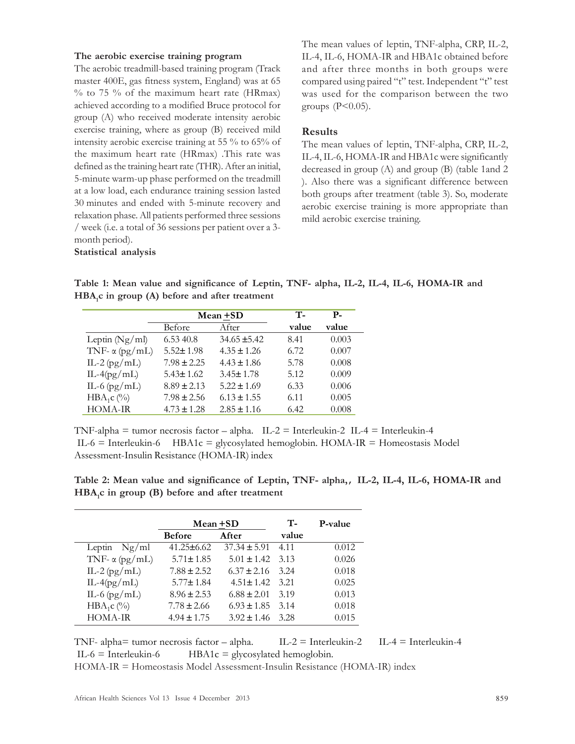#### The aerobic exercise training program

Statistical analysis

The aerobic treadmill-based training program (Track master 400E, gas fitness system, England) was at 65  $%$  to 75 % of the maximum heart rate (HRmax) achieved according to a modified Bruce protocol for group (A) who received moderate intensity aerobic exercise training, where as group (B) received mild intensity aerobic exercise training at 55 % to 65% of the maximum heart rate (HRmax) .This rate was defined as the training heart rate (THR). After an initial, 5-minute warm-up phase performed on the treadmill at a low load, each endurance training session lasted 30 minutes and ended with 5-minute recovery and relaxation phase. All patients performed three sessions / week (i.e. a total of 36 sessions per patient over a 3 month period).

The mean values of leptin, TNF-alpha, CRP, IL-2, IL-4, IL-6, HOMA-IR and HBA1c obtained before and after three months in both groups were compared using paired "t" test. Independent "t" test was used for the comparison between the two groups  $(P<0.05)$ .

## Results

The mean values of leptin, TNF-alpha, CRP, IL-2, IL-4, IL-6, HOMA-IR and HBA1c were significantly decreased in group (A) and group (B) (table 1and 2 ). Also there was a significant difference between both groups after treatment (table 3). So, moderate aerobic exercise training is more appropriate than mild aerobic exercise training.

Table 1: Mean value and significance of Leptin, TNF- alpha, IL-2, IL-4, IL-6, HOMA-IR and HBA<sub>1</sub>c in group (A) before and after treatment

|                       | Mean +SD        |                  | T-    | <b>P</b> - |
|-----------------------|-----------------|------------------|-------|------------|
|                       | Before          | After            | value | value      |
| Leptin $(Ng/ml)$      | 6.53 40.8       | $34.65 \pm 5.42$ | 8.41  | 0.003      |
| TNF- $\alpha$ (pg/mL) | $5.52 \pm 1.98$ | $4.35 \pm 1.26$  | 6.72  | 0.007      |
| IL-2 $(pg/mL)$        | $7.98 \pm 2.25$ | $4.43 \pm 1.86$  | 5.78  | 0.008      |
| $IL-4(pg/mL)$         | $5.43 \pm 1.62$ | $3.45 \pm 1.78$  | 5.12  | 0.009      |
| IL-6 $(pg/mL)$        | $8.89 \pm 2.13$ | $5.22 \pm 1.69$  | 6.33  | 0.006      |
| $HBA_1c$ (%)          | $7.98 \pm 2.56$ | $6.13 \pm 1.55$  | 6.11  | 0.005      |
| <b>HOMA-IR</b>        | $4.73 \pm 1.28$ | $2.85 \pm 1.16$  | 6.42  | 0.008      |

TNF-alpha = tumor necrosis factor – alpha.  $IL-2 = Interleukin-2$  IL-4 = Interleukin-4  $IL-6$  = Interleukin-6 HBA1c = glycosylated hemoglobin. HOMA-IR = Homeostasis Model Assessment-Insulin Resistance (HOMA-IR) index

Table 2: Mean value and significance of Leptin, TNF- alpha,, IL-2, IL-4, IL-6, HOMA-IR and HBA<sub>1</sub>c in group (B) before and after treatment

|                       | Mean +SD         |                  | $T-$  | P-value |
|-----------------------|------------------|------------------|-------|---------|
|                       | <b>Before</b>    | After            | value |         |
| Leptin $Ng/ml$        | $41.25 \pm 6.62$ | $37.34 \pm 5.91$ | 4.11  | 0.012   |
| TNF- $\alpha$ (pg/mL) | $5.71 \pm 1.85$  | $5.01 \pm 1.42$  | 3.13  | 0.026   |
| IL-2 $(pg/mL)$        | $7.88 \pm 2.52$  | $6.37 \pm 2.16$  | 3.24  | 0.018   |
| $IL-4(pg/mL)$         | $5.77 \pm 1.84$  | $4.51 \pm 1.42$  | 3.21  | 0.025   |
| IL-6 $(pg/mL)$        | $8.96 \pm 2.53$  | $6.88 \pm 2.01$  | 3.19  | 0.013   |
| $HBA_1C$ (%)          | $7.78 \pm 2.66$  | $6.93 \pm 1.85$  | 3.14  | 0.018   |
| HOMA-IR               | $4.94 \pm 1.75$  | $3.92 \pm 1.46$  | 3.28  | 0.015   |

TNF- alpha= tumor necrosis factor – alpha. IL-2 = Interleukin-2 IL-4 = Interleukin-4  $IL-6 = Interleukin-6$   $HBA1c = glycosylated hemoglobin.$ 

HOMA-IR = Homeostasis Model Assessment-Insulin Resistance (HOMA-IR) index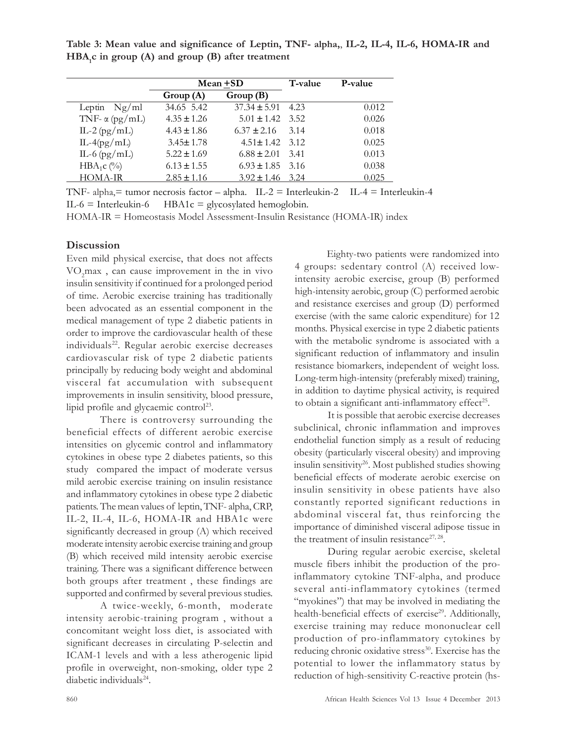Table 3: Mean value and significance of Leptin, TNF- alpha,, IL-2, IL-4, IL-6, HOMA-IR and  $HBA_1c$  in group (A) and group (B) after treatment

|                       | Mean +SD        |                      | T-value | P-value |
|-----------------------|-----------------|----------------------|---------|---------|
|                       | Group(A)        | Group(B)             |         |         |
| Leptin $Ng/ml$        | 34.65 5.42      | $37.34 \pm 5.91$     | 4.23    | 0.012   |
| TNF- $\alpha$ (pg/mL) | $4.35 \pm 1.26$ | $5.01 \pm 1.42$ 3.52 |         | 0.026   |
| IL-2 $(pg/mL)$        | $4.43 \pm 1.86$ | $6.37 \pm 2.16$      | 3.14    | 0.018   |
| $IL-4(pg/mL)$         | $3.45 \pm 1.78$ | $4.51 \pm 1.42$ 3.12 |         | 0.025   |
| IL-6 $(pg/mL)$        | $5.22 \pm 1.69$ | $6.88 \pm 2.01$      | 3.41    | 0.013   |
| $HBA_1c$ (%)          | $6.13 \pm 1.55$ | $6.93 \pm 1.85$ 3.16 |         | 0.038   |
| HOMA-IR               | $2.85 \pm 1.16$ | $3.92 \pm 1.46$ 3.24 |         | 0.025   |

TNF- alpha, $=$  tumor necrosis factor – alpha. IL-2 = Interleukin-2 IL-4 = Interleukin-4  $IL-6 = Interleukin-6$   $HBA1c = glycosylated hemoglobin.$ 

HOMA-IR = Homeostasis Model Assessment-Insulin Resistance (HOMA-IR) index

## **Discussion**

Even mild physical exercise, that does not affects VO2max , can cause improvement in the in vivo insulin sensitivity if continued for a prolonged period of time. Aerobic exercise training has traditionally been advocated as an essential component in the medical management of type 2 diabetic patients in order to improve the cardiovascular health of these individuals<sup>22</sup>. Regular aerobic exercise decreases cardiovascular risk of type 2 diabetic patients principally by reducing body weight and abdominal visceral fat accumulation with subsequent improvements in insulin sensitivity, blood pressure, lipid profile and glycaemic control<sup>23</sup>.

There is controversy surrounding the beneficial effects of different aerobic exercise intensities on glycemic control and inflammatory cytokines in obese type 2 diabetes patients, so this study compared the impact of moderate versus mild aerobic exercise training on insulin resistance and inflammatory cytokines in obese type 2 diabetic patients. The mean values of leptin, TNF- alpha, CRP, IL-2, IL-4, IL-6, HOMA-IR and HBA1c were significantly decreased in group (A) which received moderate intensity aerobic exercise training and group (B) which received mild intensity aerobic exercise training. There was a significant difference between both groups after treatment , these findings are supported and confirmed by several previous studies.

A twice-weekly, 6-month, moderate intensity aerobic-training program , without a concomitant weight loss diet, is associated with significant decreases in circulating P-selectin and ICAM-1 levels and with a less atherogenic lipid profile in overweight, non-smoking, older type 2 diabetic individuals<sup>24</sup>.

Eighty-two patients were randomized into 4 groups: sedentary control (A) received lowintensity aerobic exercise, group (B) performed high-intensity aerobic, group (C) performed aerobic and resistance exercises and group (D) performed exercise (with the same caloric expenditure) for 12 months. Physical exercise in type 2 diabetic patients with the metabolic syndrome is associated with a significant reduction of inflammatory and insulin resistance biomarkers, independent of weight loss. Long-term high-intensity (preferably mixed) training, in addition to daytime physical activity, is required to obtain a significant anti-inflammatory effect<sup>25</sup>.

It is possible that aerobic exercise decreases subclinical, chronic inflammation and improves endothelial function simply as a result of reducing obesity (particularly visceral obesity) and improving insulin sensitivity<sup>26</sup>. Most published studies showing beneficial effects of moderate aerobic exercise on insulin sensitivity in obese patients have also constantly reported significant reductions in abdominal visceral fat, thus reinforcing the importance of diminished visceral adipose tissue in the treatment of insulin resistance<sup>27, 28</sup>.

During regular aerobic exercise, skeletal muscle fibers inhibit the production of the proinflammatory cytokine TNF-alpha, and produce several anti-inflammatory cytokines (termed "myokines") that may be involved in mediating the health-beneficial effects of exercise<sup>29</sup>. Additionally, exercise training may reduce mononuclear cell production of pro-inflammatory cytokines by reducing chronic oxidative stress<sup>30</sup>. Exercise has the potential to lower the inflammatory status by reduction of high-sensitivity C-reactive protein (hs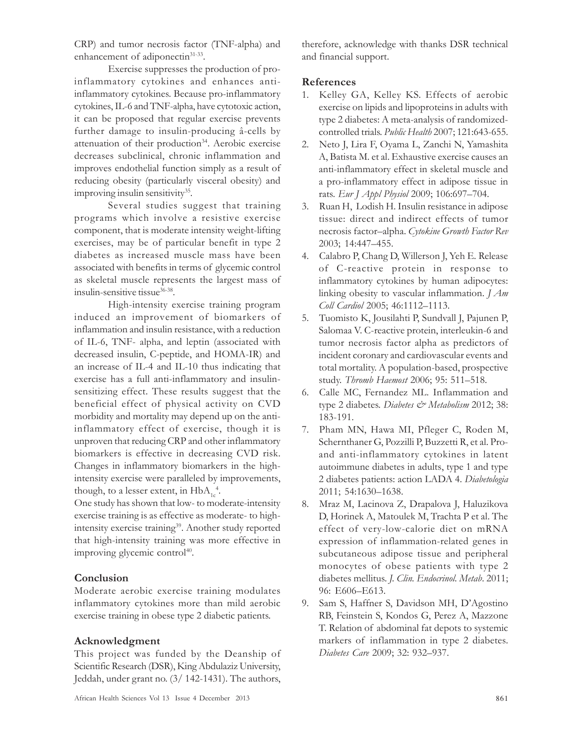CRP) and tumor necrosis factor (TNF-alpha) and enhancement of adiponectin<sup>31-33</sup>.

Exercise suppresses the production of proinflammatory cytokines and enhances antiinflammatory cytokines. Because pro-inflammatory cytokines, IL-6 and TNF-alpha, have cytotoxic action, it can be proposed that regular exercise prevents further damage to insulin-producing â-cells by attenuation of their production<sup>34</sup>. Aerobic exercise decreases subclinical, chronic inflammation and improves endothelial function simply as a result of reducing obesity (particularly visceral obesity) and improving insulin sensitivity<sup>35</sup>.

Several studies suggest that training programs which involve a resistive exercise component, that is moderate intensity weight-lifting exercises, may be of particular benefit in type 2 diabetes as increased muscle mass have been associated with benefits in terms of glycemic control as skeletal muscle represents the largest mass of insulin-sensitive tissue36-38 .

High-intensity exercise training program induced an improvement of biomarkers of inflammation and insulin resistance, with a reduction of IL-6, TNF- alpha, and leptin (associated with decreased insulin, C-peptide, and HOMA-IR) and an increase of IL-4 and IL-10 thus indicating that exercise has a full anti-inflammatory and insulinsensitizing effect. These results suggest that the beneficial effect of physical activity on CVD morbidity and mortality may depend up on the antiinflammatory effect of exercise, though it is unproven that reducing CRP and other inflammatory biomarkers is effective in decreasing CVD risk. Changes in inflammatory biomarkers in the highintensity exercise were paralleled by improvements, though, to a lesser extent, in  $HbA_{1c}^4$ .

One study has shown that low- to moderate-intensity exercise training is as effective as moderate- to highintensity exercise training<sup>39</sup>. Another study reported that high-intensity training was more effective in improving glycemic control<sup>40</sup>.

## Conclusion

Moderate aerobic exercise training modulates inflammatory cytokines more than mild aerobic exercise training in obese type 2 diabetic patients.

## Acknowledgment

This project was funded by the Deanship of Scientific Research (DSR), King Abdulaziz University, Jeddah, under grant no. (3/ 142-1431). The authors, therefore, acknowledge with thanks DSR technical and financial support.

## References

- 1. Kelley GA, Kelley KS. Effects of aerobic exercise on lipids and lipoproteins in adults with type 2 diabetes: A meta-analysis of randomizedcontrolled trials. Public Health 2007; 121:643-655.
- 2. Neto J, Lira F, Oyama L, Zanchi N, Yamashita A, Batista M. et al. Exhaustive exercise causes an anti-inflammatory effect in skeletal muscle and a pro-inflammatory effect in adipose tissue in rats. Eur J Appl Physiol 2009; 106:697–704.
- 3. Ruan H, Lodish H. Insulin resistance in adipose tissue: direct and indirect effects of tumor necrosis factor–alpha. Cytokine Growth Factor Rev 2003; 14:447–455.
- 4. Calabro P, Chang D, Willerson J, Yeh E. Release of C-reactive protein in response to inflammatory cytokines by human adipocytes: linking obesity to vascular inflammation. J Am Coll Cardiol 2005; 46:1112–1113.
- 5. Tuomisto K, Jousilahti P, Sundvall J, Pajunen P, Salomaa V. C-reactive protein, interleukin-6 and tumor necrosis factor alpha as predictors of incident coronary and cardiovascular events and total mortality. A population-based, prospective study. Thromb Haemost 2006; 95: 511–518.
- 6. Calle MC, Fernandez ML. Inflammation and type 2 diabetes. Diabetes & Metabolism 2012; 38: 183-191.
- 7. Pham MN, Hawa MI, Pfleger C, Roden M, Schernthaner G, Pozzilli P, Buzzetti R, et al. Proand anti-inflammatory cytokines in latent autoimmune diabetes in adults, type 1 and type 2 diabetes patients: action LADA 4. Diabetologia 2011; 54:1630–1638.
- 8. Mraz M, Lacinova Z, Drapalova J, Haluzikova D, Horinek A, Matoulek M, Trachta P et al. The effect of very-low-calorie diet on mRNA expression of inflammation-related genes in subcutaneous adipose tissue and peripheral monocytes of obese patients with type 2 diabetes mellitus. J. Clin. Endocrinol. Metab. 2011; 96: E606–E613.
- 9. Sam S, Haffner S, Davidson MH, D'Agostino RB, Feinstein S, Kondos G, Perez A, Mazzone T. Relation of abdominal fat depots to systemic markers of inflammation in type 2 diabetes. Diabetes Care 2009; 32: 932–937.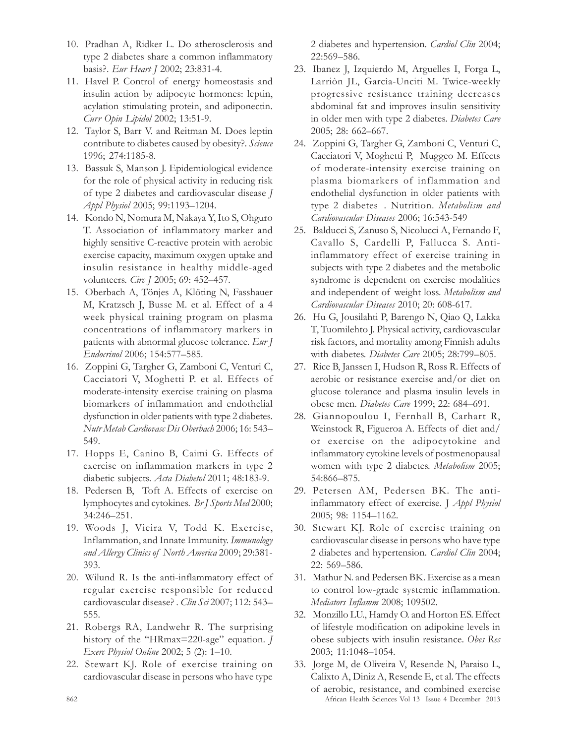- 10. Pradhan A, Ridker L. Do atherosclerosis and type 2 diabetes share a common inflammatory basis?. Eur Heart J 2002; 23:831-4.
- 11. Havel P. Control of energy homeostasis and insulin action by adipocyte hormones: leptin, acylation stimulating protein, and adiponectin. Curr Opin Lipidol 2002; 13:51-9.
- 12. Taylor S, Barr V. and Reitman M. Does leptin contribute to diabetes caused by obesity?. Science 1996; 274:1185-8.
- 13. Bassuk S, Manson J. Epidemiological evidence for the role of physical activity in reducing risk of type 2 diabetes and cardiovascular disease J Appl Physiol 2005; 99:1193–1204.
- 14. Kondo N, Nomura M, Nakaya Y, Ito S, Ohguro T. Association of inflammatory marker and highly sensitive C-reactive protein with aerobic exercise capacity, maximum oxygen uptake and insulin resistance in healthy middle-aged volunteers. *Circ J* 2005; 69: 452-457.
- 15. Oberbach A, Tönjes A, Klöting N, Fasshauer M, Kratzsch J, Busse M. et al. Effect of a 4 week physical training program on plasma concentrations of inflammatory markers in patients with abnormal glucose tolerance. Eur J Endocrinol 2006; 154:577–585.
- 16. Zoppini G, Targher G, Zamboni C, Venturi C, Cacciatori V, Moghetti P. et al. Effects of moderate-intensity exercise training on plasma biomarkers of inflammation and endothelial dysfunction in older patients with type 2 diabetes. Nutr Metab Cardiovasc Dis Oberbach 2006; 16: 543– 549.
- 17. Hopps E, Canino B, Caimi G. Effects of exercise on inflammation markers in type 2 diabetic subjects. Acta Diabetol 2011; 48:183-9.
- 18. Pedersen B, Toft A. Effects of exercise on lymphocytes and cytokines. Br J Sports Med 2000; 34:246–251.
- 19. Woods J, Vieira V, Todd K. Exercise, Inflammation, and Innate Immunity. Immunology and Allergy Clinics of North America 2009; 29:381- 393.
- 20. Wilund R. Is the anti-inflammatory effect of regular exercise responsible for reduced cardiovascular disease? . Clin Sci 2007; 112: 543-555.
- 21. Robergs RA, Landwehr R. The surprising history of the "HRmax=220-age" equation. J Exerc Physiol Online 2002; 5 (2): 1–10.
- 22. Stewart KJ. Role of exercise training on cardiovascular disease in persons who have type

2 diabetes and hypertension. Cardiol Clin 2004; 22:569–586.

- 23. Ibanez J, Izquierdo M, Arguelles I, Forga L, Larriòn JL, Garcìa-Unciti M. Twice-weekly progressive resistance training decreases abdominal fat and improves insulin sensitivity in older men with type 2 diabetes. Diabetes Care 2005; 28: 662–667.
- 24. Zoppini G, Targher G, Zamboni C, Venturi C, Cacciatori V, Moghetti P, Muggeo M. Effects of moderate-intensity exercise training on plasma biomarkers of inflammation and endothelial dysfunction in older patients with type 2 diabetes . Nutrition. Metabolism and Cardiovascular Diseases 2006; 16:543-549
- 25. Balducci S, Zanuso S, Nicolucci A, Fernando F, Cavallo S, Cardelli P, Fallucca S. Antiinflammatory effect of exercise training in subjects with type 2 diabetes and the metabolic syndrome is dependent on exercise modalities and independent of weight loss. Metabolism and Cardiovascular Diseases 2010; 20: 608-617.
- 26. Hu G, Jousilahti P, Barengo N, Qiao Q, Lakka T, Tuomilehto J. Physical activity, cardiovascular risk factors, and mortality among Finnish adults with diabetes. Diabetes Care 2005; 28:799-805.
- 27. Rice B, Janssen I, Hudson R, Ross R. Effects of aerobic or resistance exercise and/or diet on glucose tolerance and plasma insulin levels in obese men. Diabetes Care 1999; 22: 684–691.
- 28. Giannopoulou I, Fernhall B, Carhart R, Weinstock R, Figueroa A. Effects of diet and/ or exercise on the adipocytokine and inflammatory cytokine levels of postmenopausal women with type 2 diabetes. Metabolism 2005; 54:866–875.
- 29. Petersen AM, Pedersen BK. The antiinflammatory effect of exercise. J Appl Physiol 2005; 98: 1154–1162.
- 30. Stewart KJ. Role of exercise training on cardiovascular disease in persons who have type 2 diabetes and hypertension. Cardiol Clin 2004; 22: 569–586.
- 31. Mathur N. and Pedersen BK. Exercise as a mean to control low-grade systemic inflammation. Mediators Inflamm 2008; 109502.
- 32. Monzillo LU., Hamdy O. and Horton ES. Effect of lifestyle modification on adipokine levels in obese subjects with insulin resistance. Obes Res 2003; 11:1048–1054.
- 862 African Health Sciences Vol 13 Issue 4 December 2013 33. Jorge M, de Oliveira V, Resende N, Paraiso L, Calixto A, Diniz A, Resende E, et al. The effects of aerobic, resistance, and combined exercise